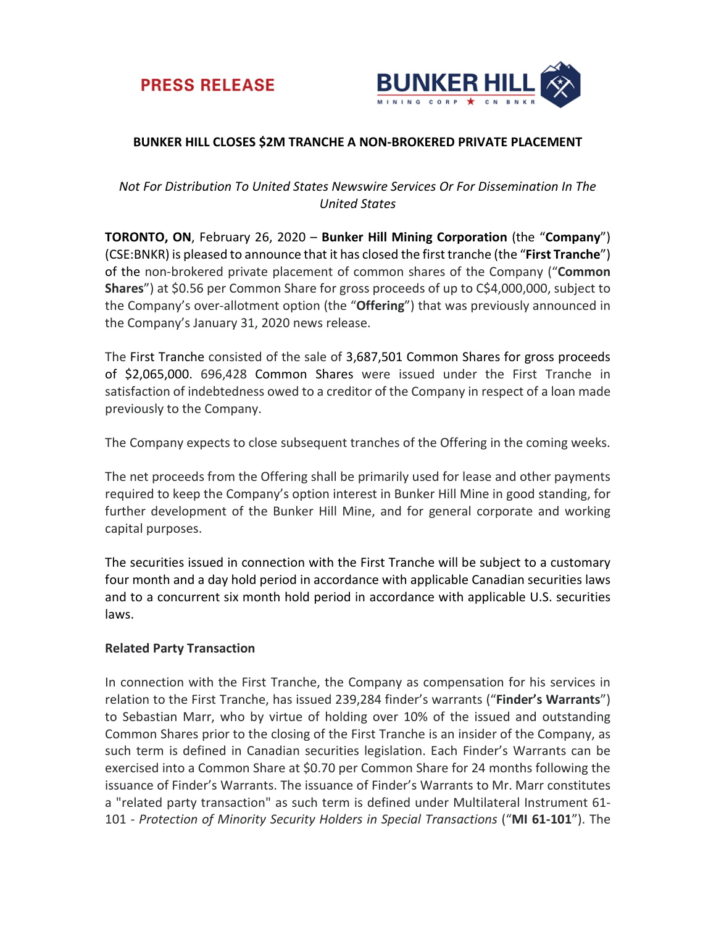



## **BUNKER HILL CLOSES \$2M TRANCHE A NON-BROKERED PRIVATE PLACEMENT**

# *Not For Distribution To United States Newswire Services Or For Dissemination In The United States*

**TORONTO, ON**, February 26, 2020 – **Bunker Hill Mining Corporation** (the "**Company**") (CSE:BNKR) is pleased to announce that it has closed the first tranche (the "**First Tranche**") of the non-brokered private placement of common shares of the Company ("**Common Shares**") at \$0.56 per Common Share for gross proceeds of up to C\$4,000,000, subject to the Company's over-allotment option (the "**Offering**") that was previously announced in the Company's January 31, 2020 news release.

The First Tranche consisted of the sale of 3,687,501 Common Shares for gross proceeds of \$2,065,000. 696,428 Common Shares were issued under the First Tranche in satisfaction of indebtedness owed to a creditor of the Company in respect of a loan made previously to the Company.

The Company expects to close subsequent tranches of the Offering in the coming weeks.

The net proceeds from the Offering shall be primarily used for lease and other payments required to keep the Company's option interest in Bunker Hill Mine in good standing, for further development of the Bunker Hill Mine, and for general corporate and working capital purposes.

The securities issued in connection with the First Tranche will be subject to a customary four month and a day hold period in accordance with applicable Canadian securities laws and to a concurrent six month hold period in accordance with applicable U.S. securities laws.

### **Related Party Transaction**

In connection with the First Tranche, the Company as compensation for his services in relation to the First Tranche, has issued 239,284 finder's warrants ("**Finder's Warrants**") to Sebastian Marr, who by virtue of holding over 10% of the issued and outstanding Common Shares prior to the closing of the First Tranche is an insider of the Company, as such term is defined in Canadian securities legislation. Each Finder's Warrants can be exercised into a Common Share at \$0.70 per Common Share for 24 months following the issuance of Finder's Warrants. The issuance of Finder's Warrants to Mr. Marr constitutes a "related party transaction" as such term is defined under Multilateral Instrument 61- 101 - *Protection of Minority Security Holders in Special Transactions* ("**MI 61-101**"). The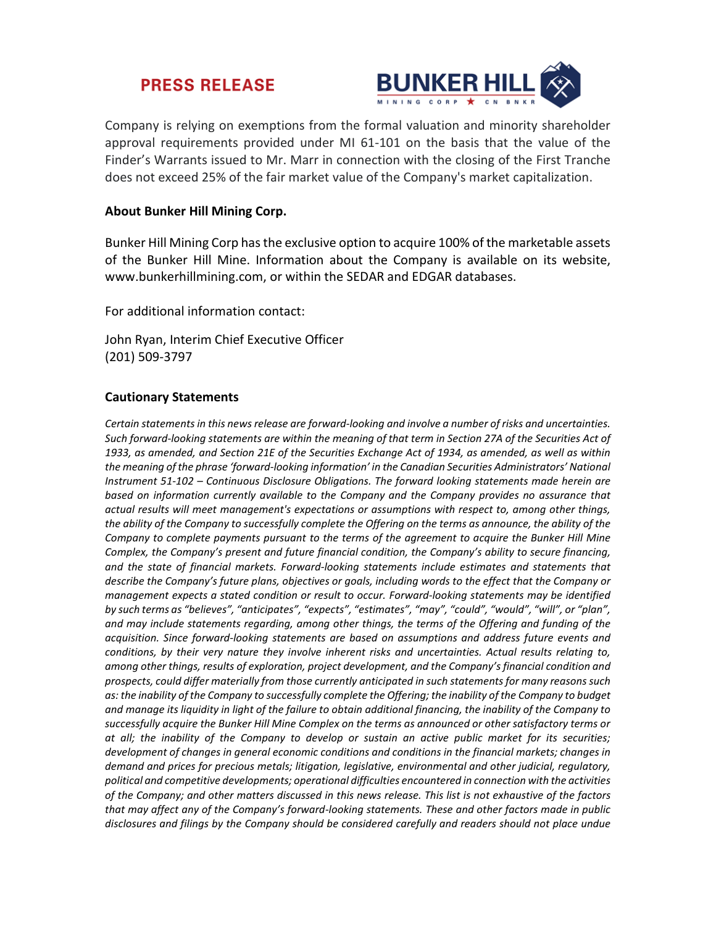# **PRESS RELEASE**



Company is relying on exemptions from the formal valuation and minority shareholder approval requirements provided under MI 61-101 on the basis that the value of the Finder's Warrants issued to Mr. Marr in connection with the closing of the First Tranche does not exceed 25% of the fair market value of the Company's market capitalization.

## **About Bunker Hill Mining Corp.**

Bunker Hill Mining Corp has the exclusive option to acquire 100% of the marketable assets of the Bunker Hill Mine. Information about the Company is available on its website, www.bunkerhillmining.com, or within the SEDAR and EDGAR databases.

For additional information contact:

John Ryan, Interim Chief Executive Officer (201) 509-3797

### **Cautionary Statements**

*Certain statements in this news release are forward-looking and involve a number of risks and uncertainties. Such forward-looking statements are within the meaning of that term in Section 27A of the Securities Act of 1933, as amended, and Section 21E of the Securities Exchange Act of 1934, as amended, as well as within the meaning of the phrase 'forward-looking information' in the Canadian Securities Administrators' National Instrument 51-102 – Continuous Disclosure Obligations. The forward looking statements made herein are based on information currently available to the Company and the Company provides no assurance that actual results will meet management's expectations or assumptions with respect to, among other things,*  the ability of the Company to successfully complete the Offering on the terms as announce, the ability of the *Company to complete payments pursuant to the terms of the agreement to acquire the Bunker Hill Mine Complex, the Company's present and future financial condition, the Company's ability to secure financing, and the state of financial markets. Forward-looking statements include estimates and statements that describe the Company's future plans, objectives or goals, including words to the effect that the Company or management expects a stated condition or result to occur. Forward-looking statements may be identified by such terms as "believes", "anticipates", "expects", "estimates", "may", "could", "would", "will", or "plan", and may include statements regarding, among other things, the terms of the Offering and funding of the acquisition. Since forward-looking statements are based on assumptions and address future events and conditions, by their very nature they involve inherent risks and uncertainties. Actual results relating to, among other things, results of exploration, project development, and the Company's financial condition and prospects, could differ materially from those currently anticipated in such statements for many reasons such*  as: the inability of the Company to successfully complete the Offering; the inability of the Company to budget *and manage its liquidity in light of the failure to obtain additional financing, the inability of the Company to successfully acquire the Bunker Hill Mine Complex on the terms as announced or other satisfactory terms or at all; the inability of the Company to develop or sustain an active public market for its securities; development of changes in general economic conditions and conditions in the financial markets; changes in demand and prices for precious metals; litigation, legislative, environmental and other judicial, regulatory, political and competitive developments; operational difficulties encountered in connection with the activities of the Company; and other matters discussed in this news release. This list is not exhaustive of the factors that may affect any of the Company's forward-looking statements. These and other factors made in public disclosures and filings by the Company should be considered carefully and readers should not place undue*